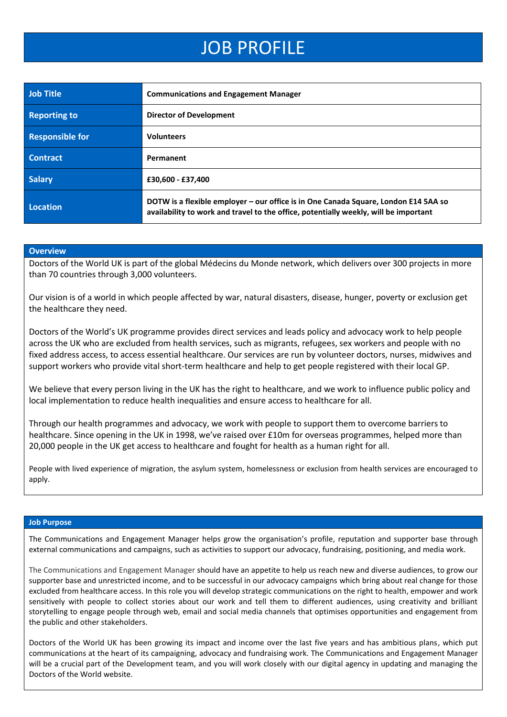## JOB PROFILE

| <b>Job Title</b>       | <b>Communications and Engagement Manager</b>                                                                                                                                |
|------------------------|-----------------------------------------------------------------------------------------------------------------------------------------------------------------------------|
| <b>Reporting to</b>    | <b>Director of Development</b>                                                                                                                                              |
| <b>Responsible for</b> | <b>Volunteers</b>                                                                                                                                                           |
| <b>Contract</b>        | Permanent                                                                                                                                                                   |
| <b>Salary</b>          | £30,600 - £37,400                                                                                                                                                           |
| Location               | DOTW is a flexible employer - our office is in One Canada Square, London E14 5AA so<br>availability to work and travel to the office, potentially weekly, will be important |

#### **Overview**

Doctors of the World UK is part of the global Médecins du Monde network, which delivers over 300 projects in more than 70 countries through 3,000 volunteers.

Our vision is of a world in which people affected by war, natural disasters, disease, hunger, poverty or exclusion get the healthcare they need.

Doctors of the World's UK programme provides direct services and leads policy and advocacy work to help people across the UK who are excluded from health services, such as migrants, refugees, sex workers and people with no fixed address access, to access essential healthcare. Our services are run by volunteer doctors, nurses, midwives and support workers who provide vital short-term healthcare and help to get people registered with their local GP.

We believe that every person living in the UK has the right to healthcare, and we work to influence public policy and local implementation to reduce health inequalities and ensure access to healthcare for all.

Through our health programmes and advocacy, we work with people to support them to overcome barriers to healthcare. Since opening in the UK in 1998, we've raised over £10m for overseas programmes, helped more than 20,000 people in the UK get access to healthcare and fought for health as a human right for all.

People with lived experience of migration, the asylum system, homelessness or exclusion from health services are encouraged to apply.

#### **Job Purpose**

The Communications and Engagement Manager helps grow the organisation's profile, reputation and supporter base through external communications and campaigns, such as activities to support our advocacy, fundraising, positioning, and media work.

The Communications and Engagement Manager should have an appetite to help us reach new and diverse audiences, to grow our supporter base and unrestricted income, and to be successful in our advocacy campaigns which bring about real change for those excluded from healthcare access. In this role you will develop strategic communications on the right to health, empower and work sensitively with people to collect stories about our work and tell them to different audiences, using creativity and brilliant storytelling to engage people through web, email and social media channels that optimises opportunities and engagement from the public and other stakeholders.

Doctors of the World UK has been growing its impact and income over the last five years and has ambitious plans, which put communications at the heart of its campaigning, advocacy and fundraising work. The Communications and Engagement Manager will be a crucial part of the Development team, and you will work closely with our digital agency in updating and managing the Doctors of the World website.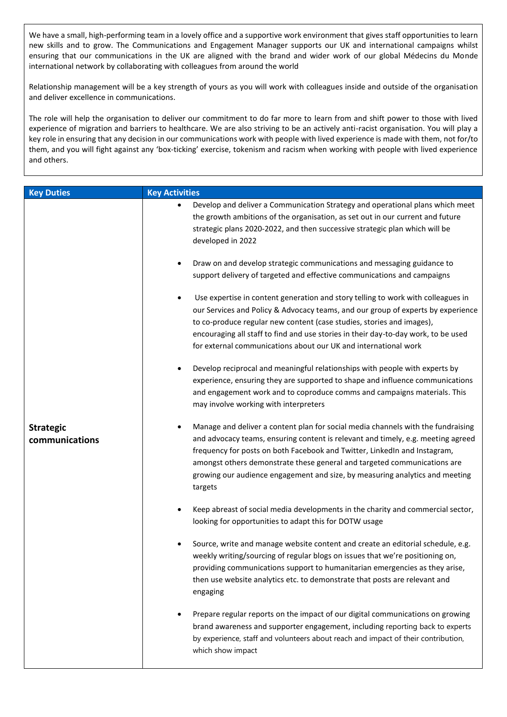We have a small, high-performing team in a lovely office and a supportive work environment that gives staff opportunities to learn new skills and to grow. The Communications and Engagement Manager supports our UK and international campaigns whilst ensuring that our communications in the UK are aligned with the brand and wider work of our global Médecins du Monde international network by collaborating with colleagues from around the world

Relationship management will be a key strength of yours as you will work with colleagues inside and outside of the organisation and deliver excellence in communications.

The role will help the organisation to deliver our commitment to do far more to learn from and shift power to those with lived experience of migration and barriers to healthcare. We are also striving to be an actively anti-racist organisation. You will play a key role in ensuring that any decision in our communications work with people with lived experience is made with them, not for/to them, and you will fight against any 'box-ticking' exercise, tokenism and racism when working with people with lived experience and others.

| <b>Key Duties</b>                  | <b>Key Activities</b>                                                                                                                                                                                                                                                                                                                                                                                                                 |
|------------------------------------|---------------------------------------------------------------------------------------------------------------------------------------------------------------------------------------------------------------------------------------------------------------------------------------------------------------------------------------------------------------------------------------------------------------------------------------|
|                                    | Develop and deliver a Communication Strategy and operational plans which meet<br>the growth ambitions of the organisation, as set out in our current and future<br>strategic plans 2020-2022, and then successive strategic plan which will be<br>developed in 2022                                                                                                                                                                   |
|                                    | Draw on and develop strategic communications and messaging guidance to<br>$\bullet$<br>support delivery of targeted and effective communications and campaigns                                                                                                                                                                                                                                                                        |
|                                    | Use expertise in content generation and story telling to work with colleagues in<br>$\bullet$<br>our Services and Policy & Advocacy teams, and our group of experts by experience<br>to co-produce regular new content (case studies, stories and images),<br>encouraging all staff to find and use stories in their day-to-day work, to be used<br>for external communications about our UK and international work                   |
|                                    | Develop reciprocal and meaningful relationships with people with experts by<br>$\bullet$<br>experience, ensuring they are supported to shape and influence communications<br>and engagement work and to coproduce comms and campaigns materials. This<br>may involve working with interpreters                                                                                                                                        |
| <b>Strategic</b><br>communications | Manage and deliver a content plan for social media channels with the fundraising<br>$\bullet$<br>and advocacy teams, ensuring content is relevant and timely, e.g. meeting agreed<br>frequency for posts on both Facebook and Twitter, LinkedIn and Instagram,<br>amongst others demonstrate these general and targeted communications are<br>growing our audience engagement and size, by measuring analytics and meeting<br>targets |
|                                    | Keep abreast of social media developments in the charity and commercial sector,<br>$\bullet$<br>looking for opportunities to adapt this for DOTW usage                                                                                                                                                                                                                                                                                |
|                                    | Source, write and manage website content and create an editorial schedule, e.g.<br>$\bullet$<br>weekly writing/sourcing of regular blogs on issues that we're positioning on,<br>providing communications support to humanitarian emergencies as they arise,<br>then use website analytics etc. to demonstrate that posts are relevant and<br>engaging                                                                                |
|                                    | Prepare regular reports on the impact of our digital communications on growing<br>$\bullet$<br>brand awareness and supporter engagement, including reporting back to experts<br>by experience, staff and volunteers about reach and impact of their contribution,<br>which show impact                                                                                                                                                |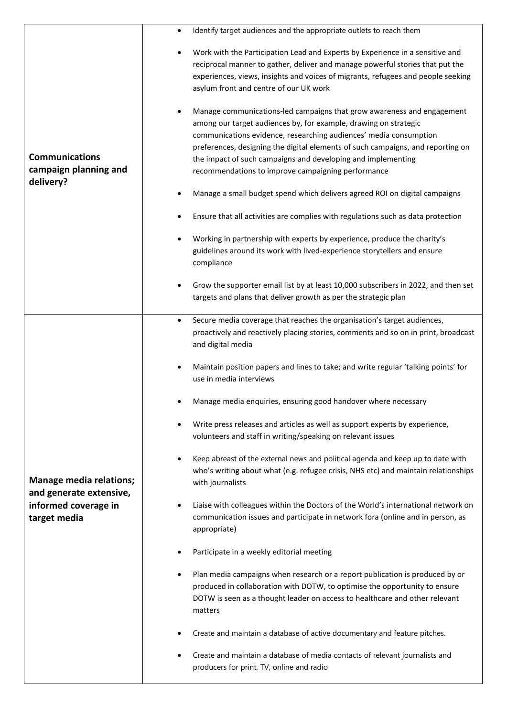|                                                                                                   | Identify target audiences and the appropriate outlets to reach them<br>$\bullet$                                                                                                                                                                                                                                                                                                                                                                                                                                                                                                                                                                                                                                                                                                                                                                                                                                     |
|---------------------------------------------------------------------------------------------------|----------------------------------------------------------------------------------------------------------------------------------------------------------------------------------------------------------------------------------------------------------------------------------------------------------------------------------------------------------------------------------------------------------------------------------------------------------------------------------------------------------------------------------------------------------------------------------------------------------------------------------------------------------------------------------------------------------------------------------------------------------------------------------------------------------------------------------------------------------------------------------------------------------------------|
| <b>Communications</b><br>campaign planning and<br>delivery?                                       | Work with the Participation Lead and Experts by Experience in a sensitive and<br>$\bullet$<br>reciprocal manner to gather, deliver and manage powerful stories that put the<br>experiences, views, insights and voices of migrants, refugees and people seeking<br>asylum front and centre of our UK work<br>Manage communications-led campaigns that grow awareness and engagement<br>$\bullet$<br>among our target audiences by, for example, drawing on strategic<br>communications evidence, researching audiences' media consumption<br>preferences, designing the digital elements of such campaigns, and reporting on<br>the impact of such campaigns and developing and implementing<br>recommendations to improve campaigning performance<br>Manage a small budget spend which delivers agreed ROI on digital campaigns<br>Ensure that all activities are complies with regulations such as data protection |
|                                                                                                   | Working in partnership with experts by experience, produce the charity's<br>guidelines around its work with lived-experience storytellers and ensure<br>compliance                                                                                                                                                                                                                                                                                                                                                                                                                                                                                                                                                                                                                                                                                                                                                   |
|                                                                                                   | Grow the supporter email list by at least 10,000 subscribers in 2022, and then set<br>$\bullet$<br>targets and plans that deliver growth as per the strategic plan                                                                                                                                                                                                                                                                                                                                                                                                                                                                                                                                                                                                                                                                                                                                                   |
| <b>Manage media relations;</b><br>and generate extensive,<br>informed coverage in<br>target media | Secure media coverage that reaches the organisation's target audiences,<br>$\bullet$<br>proactively and reactively placing stories, comments and so on in print, broadcast<br>and digital media                                                                                                                                                                                                                                                                                                                                                                                                                                                                                                                                                                                                                                                                                                                      |
|                                                                                                   | Maintain position papers and lines to take; and write regular 'talking points' for<br>$\bullet$<br>use in media interviews                                                                                                                                                                                                                                                                                                                                                                                                                                                                                                                                                                                                                                                                                                                                                                                           |
|                                                                                                   | Manage media enquiries, ensuring good handover where necessary                                                                                                                                                                                                                                                                                                                                                                                                                                                                                                                                                                                                                                                                                                                                                                                                                                                       |
|                                                                                                   | Write press releases and articles as well as support experts by experience,<br>volunteers and staff in writing/speaking on relevant issues                                                                                                                                                                                                                                                                                                                                                                                                                                                                                                                                                                                                                                                                                                                                                                           |
|                                                                                                   | Keep abreast of the external news and political agenda and keep up to date with<br>$\bullet$<br>who's writing about what (e.g. refugee crisis, NHS etc) and maintain relationships<br>with journalists                                                                                                                                                                                                                                                                                                                                                                                                                                                                                                                                                                                                                                                                                                               |
|                                                                                                   | Liaise with colleagues within the Doctors of the World's international network on<br>$\bullet$<br>communication issues and participate in network fora (online and in person, as<br>appropriate)                                                                                                                                                                                                                                                                                                                                                                                                                                                                                                                                                                                                                                                                                                                     |
|                                                                                                   | Participate in a weekly editorial meeting                                                                                                                                                                                                                                                                                                                                                                                                                                                                                                                                                                                                                                                                                                                                                                                                                                                                            |
|                                                                                                   | Plan media campaigns when research or a report publication is produced by or<br>٠<br>produced in collaboration with DOTW, to optimise the opportunity to ensure<br>DOTW is seen as a thought leader on access to healthcare and other relevant<br>matters                                                                                                                                                                                                                                                                                                                                                                                                                                                                                                                                                                                                                                                            |
|                                                                                                   | Create and maintain a database of active documentary and feature pitches.                                                                                                                                                                                                                                                                                                                                                                                                                                                                                                                                                                                                                                                                                                                                                                                                                                            |
|                                                                                                   | Create and maintain a database of media contacts of relevant journalists and<br>producers for print, TV, online and radio                                                                                                                                                                                                                                                                                                                                                                                                                                                                                                                                                                                                                                                                                                                                                                                            |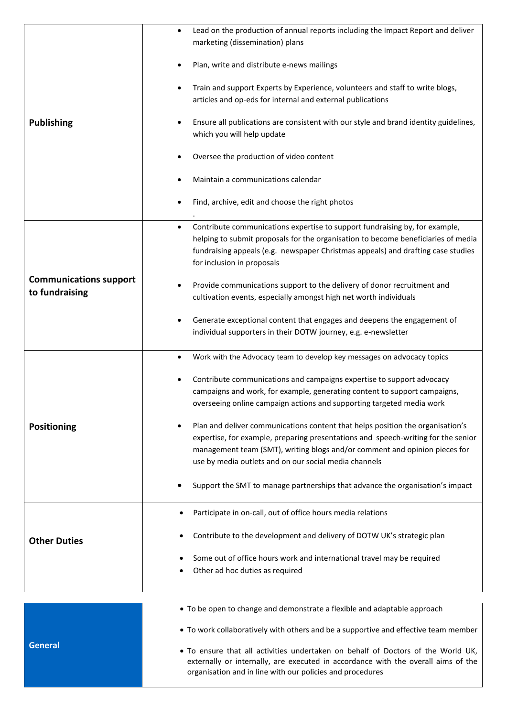|                                                 | Lead on the production of annual reports including the Impact Report and deliver<br>$\bullet$<br>marketing (dissemination) plans                                                                                                                                                                           |
|-------------------------------------------------|------------------------------------------------------------------------------------------------------------------------------------------------------------------------------------------------------------------------------------------------------------------------------------------------------------|
| <b>Publishing</b>                               | Plan, write and distribute e-news mailings                                                                                                                                                                                                                                                                 |
|                                                 | Train and support Experts by Experience, volunteers and staff to write blogs,<br>$\bullet$<br>articles and op-eds for internal and external publications                                                                                                                                                   |
|                                                 | Ensure all publications are consistent with our style and brand identity guidelines,<br>٠<br>which you will help update                                                                                                                                                                                    |
|                                                 | Oversee the production of video content                                                                                                                                                                                                                                                                    |
|                                                 | Maintain a communications calendar                                                                                                                                                                                                                                                                         |
|                                                 | Find, archive, edit and choose the right photos<br>٠                                                                                                                                                                                                                                                       |
|                                                 | Contribute communications expertise to support fundraising by, for example,<br>$\bullet$<br>helping to submit proposals for the organisation to become beneficiaries of media<br>fundraising appeals (e.g. newspaper Christmas appeals) and drafting case studies<br>for inclusion in proposals            |
| <b>Communications support</b><br>to fundraising | Provide communications support to the delivery of donor recruitment and<br>٠<br>cultivation events, especially amongst high net worth individuals                                                                                                                                                          |
|                                                 | Generate exceptional content that engages and deepens the engagement of<br>individual supporters in their DOTW journey, e.g. e-newsletter                                                                                                                                                                  |
|                                                 | Work with the Advocacy team to develop key messages on advocacy topics<br>٠                                                                                                                                                                                                                                |
|                                                 | Contribute communications and campaigns expertise to support advocacy<br>٠<br>campaigns and work, for example, generating content to support campaigns,<br>overseeing online campaign actions and supporting targeted media work                                                                           |
| <b>Positioning</b>                              | Plan and deliver communications content that helps position the organisation's<br>expertise, for example, preparing presentations and speech-writing for the senior<br>management team (SMT), writing blogs and/or comment and opinion pieces for<br>use by media outlets and on our social media channels |
|                                                 | Support the SMT to manage partnerships that advance the organisation's impact                                                                                                                                                                                                                              |
|                                                 | Participate in on-call, out of office hours media relations<br>٠                                                                                                                                                                                                                                           |
| <b>Other Duties</b>                             | Contribute to the development and delivery of DOTW UK's strategic plan                                                                                                                                                                                                                                     |
|                                                 | Some out of office hours work and international travel may be required<br>Other ad hoc duties as required                                                                                                                                                                                                  |
|                                                 | • To be open to change and demonstrate a flexible and adaptable approach                                                                                                                                                                                                                                   |
|                                                 |                                                                                                                                                                                                                                                                                                            |

• To work collaboratively with others and be a supportive and effective team member

**General** • To ensure that all activities undertaken on behalf of Doctors of the World UK, externally or internally, are executed in accordance with the overall aims of the organisation and in line with our policies and procedures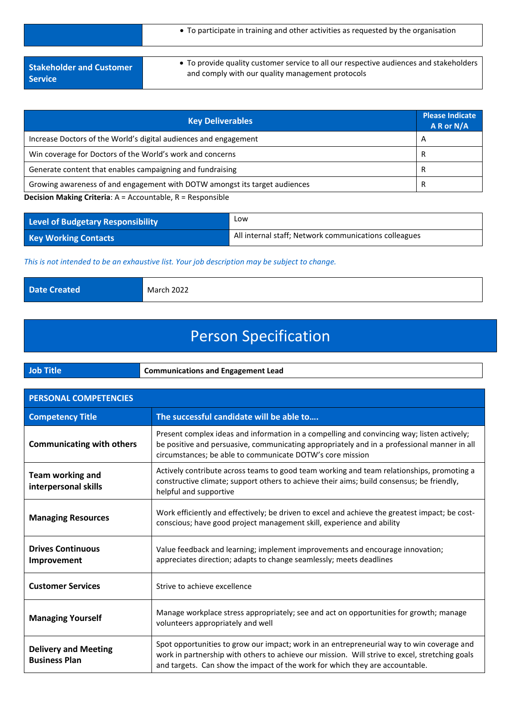|                                 | • To participate in training and other activities as requested by the organisation     |
|---------------------------------|----------------------------------------------------------------------------------------|
| <b>Stakeholder and Customer</b> | • To provide quality customer service to all our respective audiences and stakeholders |
| <b>Service</b>                  | and comply with our quality management protocols                                       |

| <b>Key Deliverables</b>                                                    | <b>Please Indicate</b><br>$A$ R or N/A |
|----------------------------------------------------------------------------|----------------------------------------|
| Increase Doctors of the World's digital audiences and engagement           | A                                      |
| Win coverage for Doctors of the World's work and concerns                  |                                        |
| Generate content that enables campaigning and fundraising                  |                                        |
| Growing awareness of and engagement with DOTW amongst its target audiences |                                        |

### **Decision Making Criteria**: A = Accountable, R = Responsible

| Level of Budgetary Responsibility | Low                                                   |
|-----------------------------------|-------------------------------------------------------|
| <b>Key Working Contacts</b>       | All internal staff; Network communications colleagues |

*This is not intended to be an exhaustive list. Your job description may be subject to change.*

**Date Created March 2022** 

# Person Specification

|  | Job. | <b>Communications and Engagement Lead</b> |
|--|------|-------------------------------------------|
|--|------|-------------------------------------------|

| <b>PERSONAL COMPETENCIES</b>                        |                                                                                                                                                                                                                                                                             |
|-----------------------------------------------------|-----------------------------------------------------------------------------------------------------------------------------------------------------------------------------------------------------------------------------------------------------------------------------|
| <b>Competency Title</b>                             | The successful candidate will be able to                                                                                                                                                                                                                                    |
| <b>Communicating with others</b>                    | Present complex ideas and information in a compelling and convincing way; listen actively;<br>be positive and persuasive, communicating appropriately and in a professional manner in all<br>circumstances; be able to communicate DOTW's core mission                      |
| Team working and<br>interpersonal skills            | Actively contribute across teams to good team working and team relationships, promoting a<br>constructive climate; support others to achieve their aims; build consensus; be friendly,<br>helpful and supportive                                                            |
| <b>Managing Resources</b>                           | Work efficiently and effectively; be driven to excel and achieve the greatest impact; be cost-<br>conscious; have good project management skill, experience and ability                                                                                                     |
| <b>Drives Continuous</b><br>Improvement             | Value feedback and learning; implement improvements and encourage innovation;<br>appreciates direction; adapts to change seamlessly; meets deadlines                                                                                                                        |
| <b>Customer Services</b>                            | Strive to achieve excellence                                                                                                                                                                                                                                                |
| <b>Managing Yourself</b>                            | Manage workplace stress appropriately; see and act on opportunities for growth; manage<br>volunteers appropriately and well                                                                                                                                                 |
| <b>Delivery and Meeting</b><br><b>Business Plan</b> | Spot opportunities to grow our impact; work in an entrepreneurial way to win coverage and<br>work in partnership with others to achieve our mission. Will strive to excel, stretching goals<br>and targets. Can show the impact of the work for which they are accountable. |